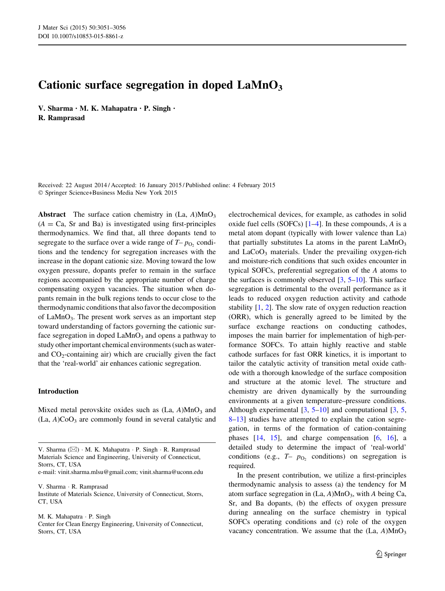# Cationic surface segregation in doped  $\text{LaMnO}_3$

V. Sharma • M. K. Mahapatra • P. Singh • R. Ramprasad

Received: 22 August 2014 / Accepted: 16 January 2015 / Published online: 4 February 2015 - Springer Science+Business Media New York 2015

Abstract The surface cation chemistry in  $(La, A)MnO<sub>3</sub>$  $(A = Ca, Sr and Ba)$  is investigated using first-principles thermodynamics. We find that, all three dopants tend to segregate to the surface over a wide range of  $T-p<sub>O</sub>$ , conditions and the tendency for segregation increases with the increase in the dopant cationic size. Moving toward the low oxygen pressure, dopants prefer to remain in the surface regions accompanied by the appropriate number of charge compensating oxygen vacancies. The situation when dopants remain in the bulk regions tends to occur close to the thermodynamic conditions that also favor the decomposition of LaMnO<sub>3</sub>. The present work serves as an important step toward understanding of factors governing the cationic surface segregation in doped  $LaMnO<sub>3</sub>$  and opens a pathway to study other important chemical environments (such as waterand  $CO<sub>2</sub>$ -containing air) which are crucially given the fact that the 'real-world' air enhances cationic segregation.

## Introduction

Mixed metal perovskite oxides such as  $(La, A)MnO<sub>3</sub>$  and  $(La, A)CoO<sub>3</sub>$  are commonly found in several catalytic and

e-mail: vinit.sharma.mlsu@gmail.com; vinit.sharma@uconn.edu

V. Sharma - R. Ramprasad

Institute of Materials Science, University of Connecticut, Storrs, CT, USA

M. K. Mahapatra · P. Singh

Center for Clean Energy Engineering, University of Connecticut, Storrs, CT, USA

electrochemical devices, for example, as cathodes in solid oxide fuel cells (SOFCs)  $[1-4]$ . In these compounds, A is a metal atom dopant (typically with lower valence than La) that partially substitutes La atoms in the parent  $LaMnO<sub>3</sub>$ and  $LaCoO<sub>3</sub>$  materials. Under the prevailing oxygen-rich and moisture-rich conditions that such oxides encounter in typical SOFCs, preferential segregation of the A atoms to the surfaces is commonly observed  $[3, 5-10]$  $[3, 5-10]$ . This surface segregation is detrimental to the overall performance as it leads to reduced oxygen reduction activity and cathode stability [[1,](#page-4-0) [2](#page-4-0)]. The slow rate of oxygen reduction reaction (ORR), which is generally agreed to be limited by the surface exchange reactions on conducting cathodes, imposes the main barrier for implementation of high-performance SOFCs. To attain highly reactive and stable cathode surfaces for fast ORR kinetics, it is important to tailor the catalytic activity of transition metal oxide cathode with a thorough knowledge of the surface composition and structure at the atomic level. The structure and chemistry are driven dynamically by the surrounding environments at a given temperature–pressure conditions. Although experimental [\[3](#page-4-0), [5–10](#page-4-0)] and computational [[3,](#page-4-0) [5,](#page-4-0) [8–13](#page-4-0)] studies have attempted to explain the cation segregation, in terms of the formation of cation-containing phases [[14,](#page-5-0) [15\]](#page-5-0), and charge compensation [\[6](#page-4-0), [16](#page-5-0)], a detailed study to determine the impact of 'real-world' conditions (e.g.,  $T-p_0$ , conditions) on segregation is required.

In the present contribution, we utilize a first-principles thermodynamic analysis to assess (a) the tendency for M atom surface segregation in  $(La, A)MnO<sub>3</sub>$ , with A being Ca, Sr, and Ba dopants, (b) the effects of oxygen pressure during annealing on the surface chemistry in typical SOFCs operating conditions and (c) role of the oxygen vacancy concentration. We assume that the  $(La, A)MnO<sub>3</sub>$ 

V. Sharma ( $\boxtimes$ ) · M. K. Mahapatra · P. Singh · R. Ramprasad Materials Science and Engineering, University of Connecticut, Storrs, CT, USA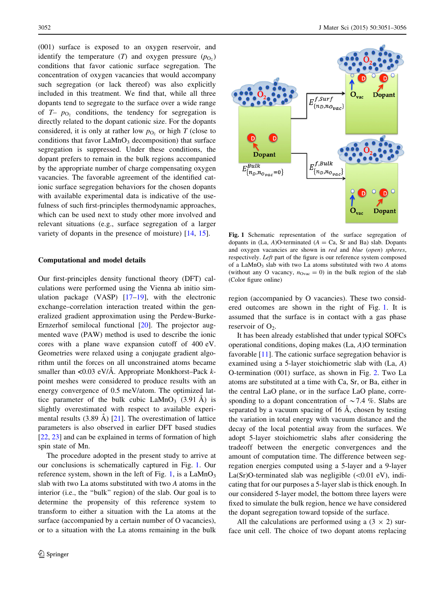<span id="page-1-0"></span>(001) surface is exposed to an oxygen reservoir, and identify the temperature  $(T)$  and oxygen pressure  $(p<sub>O</sub>)$ conditions that favor cationic surface segregation. The concentration of oxygen vacancies that would accompany such segregation (or lack thereof) was also explicitly included in this treatment. We find that, while all three dopants tend to segregate to the surface over a wide range of  $T-p_{\text{O}_2}$  conditions, the tendency for segregation is directly related to the dopant cationic size. For the dopants considered, it is only at rather low  $p_0$ , or high T (close to conditions that favor  $\text{LaMnO}_3$  decomposition) that surface segregation is suppressed. Under these conditions, the dopant prefers to remain in the bulk regions accompanied by the appropriate number of charge compensating oxygen vacancies. The favorable agreement of the identified cationic surface segregation behaviors for the chosen dopants with available experimental data is indicative of the usefulness of such first-principles thermodynamic approaches, which can be used next to study other more involved and relevant situations (e.g., surface segregation of a larger variety of dopants in the presence of moisture) [[14,](#page-5-0) [15\]](#page-5-0).

#### Computational and model details

Our first-principles density functional theory (DFT) calculations were performed using the Vienna ab initio simulation package (VASP)  $[17-19]$ , with the electronic exchange–correlation interaction treated within the generalized gradient approximation using the Perdew-Burke-Ernzerhof semilocal functional [[20\]](#page-5-0). The projector augmented wave (PAW) method is used to describe the ionic cores with a plane wave expansion cutoff of 400 eV. Geometries were relaxed using a conjugate gradient algorithm until the forces on all unconstrained atoms became smaller than  $\langle 0.03 \text{ eV/A} \rangle$ . Appropriate Monkhorst–Pack kpoint meshes were considered to produce results with an energy convergence of 0.5 meV/atom. The optimized lattice parameter of the bulk cubic  $\text{LaMnO}_3$  (3.91 Å) is slightly overestimated with respect to available experimental results  $(3.89 \text{ Å})$  [\[21](#page-5-0)]. The overestimation of lattice parameters is also observed in earlier DFT based studies [\[22](#page-5-0), [23](#page-5-0)] and can be explained in terms of formation of high spin state of Mn.

The procedure adopted in the present study to arrive at our conclusions is schematically captured in Fig. 1. Our reference system, shown in the left of Fig. 1, is a  $LaMnO<sub>3</sub>$ slab with two La atoms substituted with two A atoms in the interior (i.e., the ''bulk'' region) of the slab. Our goal is to determine the propensity of this reference system to transform to either a situation with the La atoms at the surface (accompanied by a certain number of O vacancies), or to a situation with the La atoms remaining in the bulk



Fig. 1 Schematic representation of the surface segregation of dopants in  $(La, A)O$ -terminated  $(A = Ca, Sr \text{ and } Ba)$  slab. Dopants and oxygen vacancies are shown in red and blue (open) spheres, respectively. Left part of the figure is our reference system composed of a  $LaMnO<sub>3</sub>$  slab with two La atoms substituted with two A atoms (without any O vacancy,  $n_{\text{Ovac}} = 0$ ) in the bulk region of the slab (Color figure online)

region (accompanied by O vacancies). These two considered outcomes are shown in the right of Fig. 1. It is assumed that the surface is in contact with a gas phase reservoir of  $O_2$ .

It has been already established that under typical SOFCs operational conditions, doping makes (La, A)O termination favorable [[11\]](#page-4-0). The cationic surface segregation behavior is examined using a 5-layer stoichiometric slab with (La, A) O-termination (001) surface, as shown in Fig. [2](#page-2-0). Two La atoms are substituted at a time with Ca, Sr, or Ba, either in the central LaO plane, or in the surface LaO plane, corresponding to a dopant concentration of  $\sim$  7.4 %. Slabs are separated by a vacuum spacing of  $16$  Å, chosen by testing the variation in total energy with vacuum distance and the decay of the local potential away from the surfaces. We adopt 5-layer stoichiometric slabs after considering the tradeoff between the energetic convergences and the amount of computation time. The difference between segregation energies computed using a 5-layer and a 9-layer La(Sr)O-terminated slab was negligible  $(<0.01$  eV), indicating that for our purposes a 5-layer slab is thick enough. In our considered 5-layer model, the bottom three layers were fixed to simulate the bulk region, hence we have considered the dopant segregation toward topside of the surface.

All the calculations are performed using a  $(3 \times 2)$  surface unit cell. The choice of two dopant atoms replacing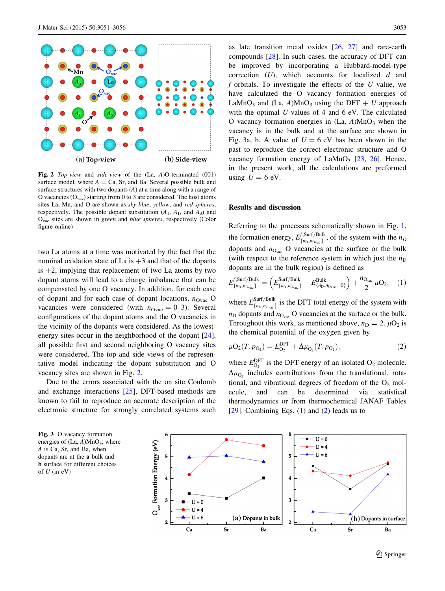<span id="page-2-0"></span>

Fig. 2 Top-view and side-view of the (La, A)O-terminated (001) surface model, where  $A = Ca$ , Sr, and Ba. Several possible bulk and surface structures with two dopants (A) at a time along with a range of O vacancies  $(O_{\text{vac}})$  starting from 0 to 3 are considered. The host atoms sites La, Mn, and O are shown as sky blue, yellow, and red spheres, respectively. The possible dopant substitution  $(A_1, A_1, A_2)$  and  $O_{\text{vac}}$  sites are shown in green and blue spheres, respectively (Color figure online)

two La atoms at a time was motivated by the fact that the nominal oxidation state of La is  $+3$  and that of the dopants is  $+2$ , implying that replacement of two La atoms by two dopant atoms will lead to a charge imbalance that can be compensated by one O vacancy. In addition, for each case of dopant and for each case of dopant locations,  $n_{\text{Ovac}}$  O vacancies were considered (with  $n_{\text{Ovac}} = 0-3$ ). Several configurations of the dopant atoms and the O vacancies in the vicinity of the dopants were considered. As the lowest-energy sites occur in the neighborhood of the dopant [\[24](#page-5-0)], all possible first and second neighboring O vacancy sites were considered. The top and side views of the representative model indicating the dopant substitution and O vacancy sites are shown in Fig. 2.

Due to the errors associated with the on site Coulomb and exchange interactions [[25\]](#page-5-0), DFT-based methods are known to fail to reproduce an accurate description of the electronic structure for strongly correlated systems such

as late transition metal oxides [[26,](#page-5-0) [27\]](#page-5-0) and rare-earth compounds [\[28](#page-5-0)]. In such cases, the accuracy of DFT can be improved by incorporating a Hubbard-model-type correction  $(U)$ , which accounts for localized  $d$  and f orbitals. To investigate the effects of the  $U$  value, we have calculated the O vacancy formation energies of LaMnO<sub>3</sub> and (La, A)MnO<sub>3</sub> using the DFT + U approach with the optimal U values of 4 and 6 eV. The calculated O vacancy formation energies in  $(La, A)MnO<sub>3</sub>$  when the vacancy is in the bulk and at the surface are shown in Fig. 3a, b. A value of  $U = 6$  eV has been shown in the past to reproduce the correct electronic structure and O vacancy formation energy of  $\text{LaMnO}_3$  [[23,](#page-5-0) [26](#page-5-0)]. Hence, in the present work, all the calculations are preformed using  $U = 6$  eV.

## Results and discussion

Referring to the processes schematically shown in Fig. [1,](#page-1-0) the formation energy,  $E_{\{n_D, n_{\text{Ovac}}\}}^{f, \text{Surf/Bulk}}$ , of the system with the  $n_D$ dopants and  $n_{\text{O}_{\text{vac}}}$  O vacancies at the surface or the bulk (with respect to the reference system in which just the  $n_D$ dopants are in the bulk region) is defined as

$$
E_{\{n_{\rm D},n_{\rm Ovac}\}}^{f,{\rm Surf/Bulk}} = \left( E_{\{n_{\rm D},n_{\rm Ovac}\}}^{\rm Surf/Bulk} - E_{\{n_{\rm D},n_{\rm Ovac}=0\}}^{\rm Bulk} \right) + \frac{n_{\rm Ovac}}{2} \mu O_2, \quad (1)
$$

where  $E_{\{n_{\text{D}},n_{\text{Ovac}}\}}^{\text{Surf/Bulk}}$  is the DFT total energy of the system with  $n<sub>D</sub>$  dopants and  $n<sub>Ovac</sub>$  O vacancies at the surface or the bulk. Throughout this work, as mentioned above,  $n_D = 2$ .  $\mu O_2$  is the chemical potential of the oxygen given by

$$
\mu O_2(T, p_{O_2}) = E_{O_2}^{\text{DFT}} + \Delta \mu_{O_2}(T, p_{O_2}),\tag{2}
$$

where  $E_{\text{O}_2}^{\text{DFT}}$  is the DFT energy of an isolated  $\text{O}_2$  molecule.  $\Delta\mu_{\text{O}_2}$  includes contributions from the translational, rotational, and vibrational degrees of freedom of the  $O_2$  molecule, and can be determined via statistical thermodynamics or from thermochemical JANAF Tables [ $29$ ]. Combining Eqs. (1) and (2) leads us to

Fig. 3 O vacancy formation energies of  $(La, A)MnO<sub>3</sub>$ , where A is Ca, Sr, and Ba, when dopants are at the a bulk and b surface for different choices of  $U$  (in eV)

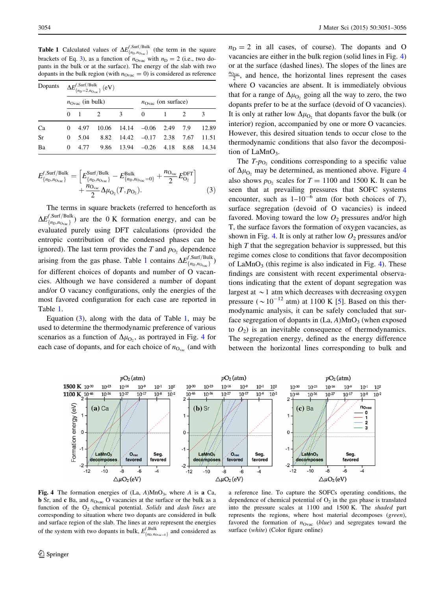<span id="page-3-0"></span>**Table 1** Calculated values of  $\Delta E_{\{n_D, n_{Ovac}\}}^{f, \text{Surf/Bulk}}$  (the term in the square brackets of Eq. [3\)](#page-2-0), as a function of  $n_{\text{Ovac}}$  with  $n_{\text{D}} = 2$  (i.e., two dopants in the bulk or at the surface). The energy of the slab with two dopants in the bulk region (with  $n_{\text{Ovac}} = 0$ ) is considered as reference

| Dopants   | $\Delta E^{f,\text{Surf/Bulk}}_{\{n_{\rm D}=2,n_{\rm Ovac}\}}$ (eV) |             |                |                         |                                      |  |   |       |
|-----------|---------------------------------------------------------------------|-------------|----------------|-------------------------|--------------------------------------|--|---|-------|
|           | $n_{\text{Ovac}}$ (in bulk)                                         |             |                |                         | $n_{\text{Ovac}}$ (on surface)       |  |   |       |
|           |                                                                     | $0 \quad 1$ | $\overline{2}$ | $\overline{\mathbf{3}}$ | $\Omega$                             |  | 2 | 3     |
| Ca        | 0                                                                   | 4.97        |                |                         | $10.06$ $14.14$ $-0.06$ 2.49 7.9     |  |   | 12.89 |
| <b>Sr</b> | 0                                                                   | 5.04        | 8.82           |                         | $14.42 -0.17$ 2.38 7.67              |  |   | 11.51 |
| Ba        | 0                                                                   | 4.77        |                |                         | $9.86$ 13.94 $-0.26$ 4.18 8.68 14.34 |  |   |       |

$$
E_{\{n_{\rm D},n_{\rm Ovac}\}}^{f,{\rm Surf/Bulk}} = \left[ E_{\{n_{\rm D},n_{\rm Ovac}\}}^{\rm Surf/Bulk} - E_{\{n_{\rm D},n_{\rm Ovac}=0\}}^{\rm Bulk} + \frac{n_{\rm Ovac}}{2} E_{\rm O_2}^{\rm DFT} \right] + \frac{n_{\rm Ovac}}{2} \Delta \mu_{\rm O_2}(T,p_{\rm O_2}). \tag{3}
$$

The terms in square brackets (referred to henceforth as  $\Delta E^{f,Surf/Bulk}_{\{n_\text{D},n_\text{Ovac}\}}$ ) are the 0 K formation energy, and can be evaluated purely using DFT calculations (provided the entropic contribution of the condensed phases can be ignored). The last term provides the T and  $p_{\text{O}_2}$  dependence arising from the gas phase. Table 1 contains  $\Delta E_{\{n_{\rm D},n_{\rm Ovac}\}}^{f,\rm Surf/Bulk}$ for different choices of dopants and number of O vacancies. Although we have considered a number of dopant and/or O vacancy configurations, only the energies of the most favored configuration for each case are reported in Table 1.

Equation  $(3)$  $(3)$ , along with the data of Table 1, may be used to determine the thermodynamic preference of various scenarios as a function of  $\Delta\mu_{\text{O}_2}$ , as portrayed in Fig. 4 for each case of dopants, and for each choice of  $n_{O<sub>vac</sub>}$  (and with

 $n_D = 2$  in all cases, of course). The dopants and O vacancies are either in the bulk region (solid lines in Fig. 4) or at the surface (dashed lines). The slopes of the lines are  $\frac{n_{\text{Ovac}}}{2}$ , and hence, the horizontal lines represent the cases where O vacancies are absent. It is immediately obvious that for a range of  $\Delta\mu_{\text{O}_2}$  going all the way to zero, the two dopants prefer to be at the surface (devoid of O vacancies). It is only at rather low  $\Delta\mu_{\text{O}_2}$  that dopants favor the bulk (or interior) region, accompanied by one or more O vacancies. However, this desired situation tends to occur close to the thermodynamic conditions that also favor the decomposition of LaMn $O_3$ .

The  $T-p<sub>O2</sub>$  conditions corresponding to a specific value of  $\Delta\mu_{\text{O}_2}$  may be determined, as mentioned above. Figure 4 also shows  $p_{\text{O}}$ , scales for  $T = 1100$  and 1500 K. It can be seen that at prevailing pressures that SOFC systems encounter, such as  $1-10^{-6}$  atm (for both choices of T). surface segregation (devoid of O vacancies) is indeed favored. Moving toward the low  $O_2$  pressures and/or high T, the surface favors the formation of oxygen vacancies, as shown in Fig. 4. It is only at rather low  $O_2$  pressures and/or high T that the segregation behavior is suppressed, but this regime comes close to conditions that favor decomposition of LaMnO<sub>3</sub> (this regime is also indicated in Fig. 4). These findings are consistent with recent experimental observations indicating that the extent of dopant segregation was largest at  $\sim$  1 atm which decreases with decreasing oxygen pressure ( $\sim 10^{-12}$  atm) at 1100 K [\[5](#page-4-0)]. Based on this thermodynamic analysis, it can be safely concluded that surface segregation of dopants in  $(La, A)MnO<sub>3</sub>$  (when exposed to  $O_2$ ) is an inevitable consequence of thermodynamics. The segregation energy, defined as the energy difference between the horizontal lines corresponding to bulk and



Fig. 4 The formation energies of  $(La, A)MnO<sub>3</sub>$ , where A is a Ca, **b** Sr, and **c** Ba, and  $n_{\text{Ovac}}$  O vacancies at the surface or the bulk as a function of the  $O_2$  chemical potential. Solids and dash lines are corresponding to situation where two dopants are considered in bulk and surface region of the slab. The lines at zero represent the energies of the system with two dopants in bulk,  $E_{\{n_D, n_{\text{Ovac}=0}\}}^{f, \text{Bulk}}$  and considered as

a reference line. To capture the SOFCs operating conditions, the dependence of chemical potential of  $O_2$  in the gas phase is translated into the pressure scales at 1100 and 1500 K. The shaded part represents the regions, where host material decomposes (green), favored the formation of  $n_{Ovac}$  (*blue*) and segregates toward the surface (white) (Color figure online)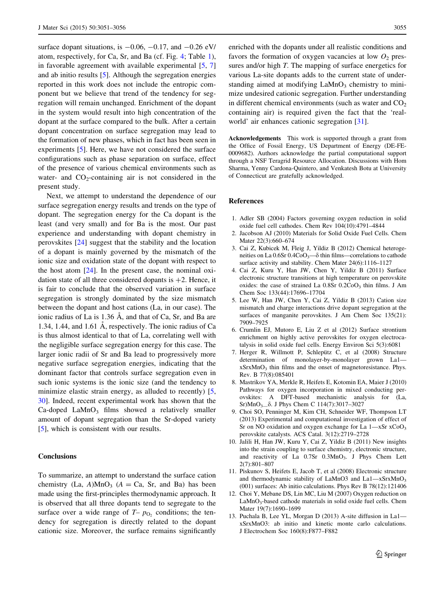<span id="page-4-0"></span>surface dopant situations, is  $-0.06$ ,  $-0.17$ , and  $-0.26$  eV/ atom, respectively, for Ca, Sr, and Ba (cf. Fig. [4;](#page-3-0) Table [1](#page-3-0)), in favorable agreement with available experimental [5, 7] and ab initio results [5]. Although the segregation energies reported in this work does not include the entropic component but we believe that trend of the tendency for segregation will remain unchanged. Enrichment of the dopant in the system would result into high concentration of the dopant at the surface compared to the bulk. After a certain dopant concentration on surface segregation may lead to the formation of new phases, which in fact has been seen in experiments [5]. Here, we have not considered the surface configurations such as phase separation on surface, effect of the presence of various chemical environments such as water- and  $CO_2$ -containing air is not considered in the present study.

Next, we attempt to understand the dependence of our surface segregation energy results and trends on the type of dopant. The segregation energy for the Ca dopant is the least (and very small) and for Ba is the most. Our past experience and understanding with dopant chemistry in perovskites [\[24](#page-5-0)] suggest that the stability and the location of a dopant is mainly governed by the mismatch of the ionic size and oxidation state of the dopant with respect to the host atom  $[24]$  $[24]$ . In the present case, the nominal oxidation state of all three considered dopants is  $+2$ . Hence, it is fair to conclude that the observed variation in surface segregation is strongly dominated by the size mismatch between the dopant and host cations (La, in our case). The ionic radius of La is  $1.36$  Å, and that of Ca, Sr, and Ba are 1.34, 1.44, and 1.61  $\AA$ , respectively. The ionic radius of Ca is thus almost identical to that of La, correlating well with the negligible surface segregation energy for this case. The larger ionic radii of Sr and Ba lead to progressively more negative surface segregation energies, indicating that the dominant factor that controls surface segregation even in such ionic systems is the ionic size (and the tendency to minimize elastic strain energy, as alluded to recently) [5, [30](#page-5-0)]. Indeed, recent experimental work has shown that the  $Ca-doped$   $LaMnO<sub>3</sub>$  films showed a relatively smaller amount of dopant segregation than the Sr-doped variety [5], which is consistent with our results.

## **Conclusions**

To summarize, an attempt to understand the surface cation chemistry (La, A)MnO<sub>3</sub> ( $A = Ca$ , Sr, and Ba) has been made using the first-principles thermodynamic approach. It is observed that all three dopants tend to segregate to the surface over a wide range of  $T-p_{\text{O}_2}$  conditions; the tendency for segregation is directly related to the dopant cationic size. Moreover, the surface remains significantly enriched with the dopants under all realistic conditions and favors the formation of oxygen vacancies at low  $O_2$  pressures and/or high T. The mapping of surface energetics for various La-site dopants adds to the current state of understanding aimed at modifying  $\text{LaMnO}_3$  chemistry to minimize undesired cationic segregation. Further understanding in different chemical environments (such as water and  $CO<sub>2</sub>$ ) containing air) is required given the fact that the 'realworld' air enhances cationic segregation [[31\]](#page-5-0).

Acknowledgements This work is supported through a grant from the Office of Fossil Energy, US Department of Energy (DE-FE-0009682). Authors acknowledge the partial computational support through a NSF Teragrid Resource Allocation. Discussions with Hom Sharma, Yenny Cardona-Quintero, and Venkatesh Botu at University of Connecticut are gratefully acknowledged.

#### References

- 1. Adler SB (2004) Factors governing oxygen reduction in solid oxide fuel cell cathodes. Chem Rev 104(10):4791–4844
- 2. Jacobson AJ (2010) Materials for Solid Oxide Fuel Cells. Chem Mater 22(3):660–674
- 3. Cai Z, Kubicek M, Fleig J, Yildiz B (2012) Chemical heterogeneities on La  $0.6$ Sr  $0.4$ CoO<sub>3</sub>— $\delta$  thin films—correlations to cathode surface activity and stability. Chem Mater 24(6):1116–1127
- 4. Cai Z, Kuru Y, Han JW, Chen Y, Yildiz B (2011) Surface electronic structure transitions at high temperature on perovskite oxides: the case of strained La  $0.8Sr 0.2CoO<sub>3</sub>$  thin films. J Am Chem Soc 133(44):17696–17704
- 5. Lee W, Han JW, Chen Y, Cai Z, Yildiz B (2013) Cation size mismatch and charge interactions drive dopant segregation at the surfaces of manganite perovskites. J Am Chem Soc 135(21): 7909–7925
- 6. Crumlin EJ, Mutoro E, Liu Z et al (2012) Surface strontium enrichment on highly active perovskites for oxygen electrocatalysis in solid oxide fuel cells. Energy Environ Sci 5(3):6081
- 7. Herger R, Willmott P, Schlepütz C, et al (2008) Structure determination of monolayer-by-monolayer grown La1 xSrxMnO<sub>3</sub> thin films and the onset of magnetoresistance. Phys. Rev. B 77(8):085401
- 8. Mastrikov YA, Merkle R, Heifets E, Kotomin EA, Maier J (2010) Pathways for oxygen incorporation in mixed conducting perovskites: A DFT-based mechanistic analysis for (La, Sr)MnO<sub>3</sub><sup>-δ</sup>. J Phys Chem C 114(7):3017-3027
- 9. Choi SO, Penninger M, Kim CH, Schneider WF, Thompson LT (2013) Experimental and computational investigation of effect of Sr on NO oxidation and oxygen exchange for La 1—xSr xCoO<sub>3</sub> perovskite catalysts. ACS Catal. 3(12):2719–2728
- 10. Jalili H, Han JW, Kuru Y, Cai Z, Yildiz B (2011) New insights into the strain coupling to surface chemistry, electronic structure, and reactivity of La 0.7Sr 0.3MnO<sub>3</sub>. J Phys Chem Lett 2(7):801–807
- 11. Piskunov S, Heifets E, Jacob T, et al (2008) Electronic structure and thermodynamic stability of LaMnO3 and La1—xSrxMnO3 (001) surfaces: Ab initio calculations. Phys Rev B 78(12):121406
- 12. Choi Y, Mebane DS, Lin MC, Liu M (2007) Oxygen reduction on  $LaMnO<sub>3</sub>$ -based cathode materials in solid oxide fuel cells. Chem Mater 19(7):1690–1699
- 13. Puchala B, Lee YL, Morgan D (2013) A-site diffusion in La1 xSrxMnO3: ab initio and kinetic monte carlo calculations. J Electrochem Soc 160(8):F877–F882